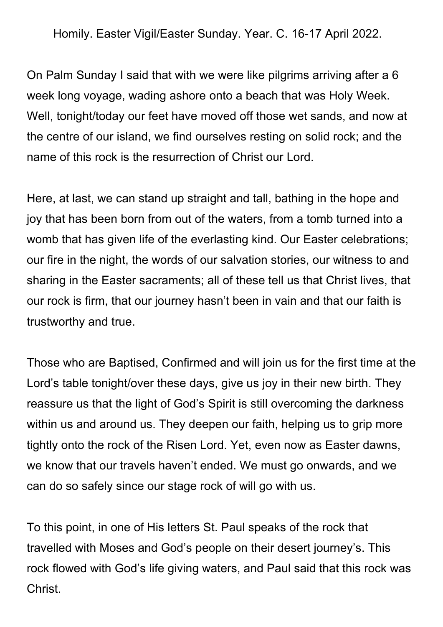Homily. Easter Vigil/Easter Sunday. Year. C. 16-17 April 2022.

On Palm Sunday I said that with we were like pilgrims arriving after a 6 week long voyage, wading ashore onto a beach that was Holy Week. Well, tonight/today our feet have moved off those wet sands, and now at the centre of our island, we find ourselves resting on solid rock; and the name of this rock is the resurrection of Christ our Lord.

Here, at last, we can stand up straight and tall, bathing in the hope and joy that has been born from out of the waters, from a tomb turned into a womb that has given life of the everlasting kind. Our Easter celebrations; our fire in the night, the words of our salvation stories, our witness to and sharing in the Easter sacraments; all of these tell us that Christ lives, that our rock is firm, that our journey hasn't been in vain and that our faith is trustworthy and true.

Those who are Baptised, Confirmed and will join us for the first time at the Lord's table tonight/over these days, give us joy in their new birth. They reassure us that the light of God's Spirit is still overcoming the darkness within us and around us. They deepen our faith, helping us to grip more tightly onto the rock of the Risen Lord. Yet, even now as Easter dawns, we know that our travels haven't ended. We must go onwards, and we can do so safely since our stage rock of will go with us.

To this point, in one of His letters St. Paul speaks of the rock that travelled with Moses and God's people on their desert journey's. This rock flowed with God's life giving waters, and Paul said that this rock was Christ.